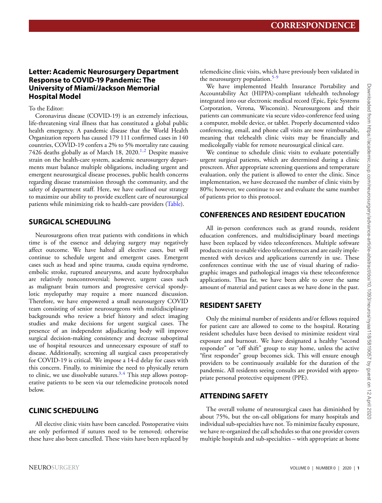# **Letter: Academic Neurosurgery Department Response to COVID-19 Pandemic: The University of Miami/Jackson Memorial Hospital Model**

To the Editor:

Coronavirus disease (COVID-19) is an extremely infectious, life-threatening viral illness that has constituted a global public health emergency. A pandemic disease that the World Health Organization reports has caused 179 111 confirmed cases in 140 countries, COVID-19 confers a 2% to 5% mortality rate causing 74[2](#page-2-1)6 deaths globally as of March 18,  $2020^{1,2}$  $2020^{1,2}$  $2020^{1,2}$  Despite massive strain on the health-care system, academic neurosurgery departments must balance multiple obligations, including urgent and emergent neurosurgical disease processes, public health concerns regarding disease transmission through the community, and the safety of department staff. Here, we have outlined our strategy to maximize our ability to provide excellent care of neurosurgical patients while minimizing risk to health-care providers [\(Table\)](#page-1-0).

# **SURGICAL SCHEDULING**

Neurosurgeons often treat patients with conditions in which time is of the essence and delaying surgery may negatively affect outcome. We have halted all elective cases, but will continue to schedule urgent and emergent cases. Emergent cases such as head and spine trauma, cauda equina syndrome, embolic stroke, ruptured aneurysms, and acute hydrocephalus are relatively noncontroversial; however, urgent cases such as malignant brain tumors and progressive cervical spondylotic myelopathy may require a more nuanced discussion. Therefore, we have empowered a small neurosurgery COVID team consisting of senior neurosurgeons with multidisciplinary backgrounds who review a brief history and select imaging studies and make decisions for urgent surgical cases. The presence of an independent adjudicating body will improve surgical decision-making consistency and decrease suboptimal use of hospital resources and unnecessary exposure of staff to disease. Additionally, screening all surgical cases preoperatively for COVID-19 is critical. We impose a 14-d delay for cases with this concern. Finally, to minimize the need to physically return to clinic, we use dissolvable sutures.<sup>3,[4](#page-2-3)</sup> This step allows postoperative patients to be seen via our telemedicine protocols noted below.

# **CLINIC SCHEDULING**

All elective clinic visits have been canceled. Postoperative visits are only performed if sutures need to be removed; otherwise these have also been cancelled. These visits have been replaced by telemedicine clinic visits, which have previously been validated in the neurosurgery population.<sup>[5-](#page-2-4)[9](#page-2-5)</sup>

We have implemented Health Insurance Portability and Accountability Act (HIPPA)-compliant telehealth technology integrated into our electronic medical record (Epic, Epic Systems Corporation, Verona, Wisconsin). Neurosurgeons and their patients can communicate via secure video-conference feed using a computer, mobile device, or tablet. Properly documented video conferencing, email, and phone call visits are now reimbursable, meaning that telehealth clinic visits may be financially and medicolegally viable for remote neurosurgical clinical care.

We continue to schedule clinic visits to evaluate potentially urgent surgical patients, which are determined during a clinic prescreen. After appropriate screening questions and temperature evaluation, only the patient is allowed to enter the clinic. Since implementation, we have decreased the number of clinic visits by 80%; however, we continue to see and evaluate the same number of patients prior to this protocol.

# **CONFERENCES AND RESIDENT EDUCATION**

All in-person conferences such as grand rounds, resident education conferences, and multidisciplinary board meetings have been replaced by video teleconferences. Multiple software products exist to enable video teleconferences and are easily implemented with devices and applications currently in use. These conferences continue with the use of visual sharing of radiographic images and pathological images via these teleconference applications. Thus far, we have been able to cover the same amount of material and patient cases as we have done in the past.

# **RESIDENT SAFETY**

Only the minimal number of residents and/or fellows required for patient care are allowed to come to the hospital. Rotating resident schedules have been devised to minimize resident viral exposure and burnout. We have designated a healthy "second responder" or "off shift" group to stay home, unless the active "first responder" group becomes sick. This will ensure enough providers to be continuously available for the duration of the pandemic. All residents seeing consults are provided with appropriate personal protective equipment (PPE).

# **ATTENDING SAFETY**

The overall volume of neurosurgical cases has diminished by about 75%, but the on-call obligations for many hospitals and individual sub-specialties have not. To minimize faculty exposure, we have re-organized the call schedules so that one provider covers multiple hospitals and sub-specialties – with appropriate at home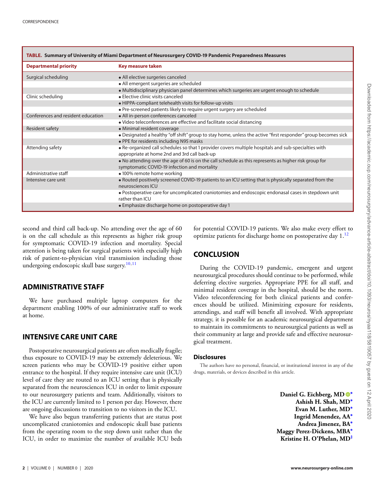<span id="page-1-0"></span>

| TABLE. Summary of University of Miami Department of Neurosurgery COVID-19 Pandemic Preparedness Measures |                                                                                                                                                       |
|----------------------------------------------------------------------------------------------------------|-------------------------------------------------------------------------------------------------------------------------------------------------------|
| <b>Departmental priority</b>                                                                             | Key measure taken                                                                                                                                     |
| Surgical scheduling                                                                                      | • All elective surgeries canceled                                                                                                                     |
|                                                                                                          | • All emergent surgeries are scheduled                                                                                                                |
|                                                                                                          | • Multidisciplinary physician panel determines which surgeries are urgent enough to schedule                                                          |
| Clinic scheduling                                                                                        | · Elective clinic visits canceled                                                                                                                     |
|                                                                                                          | • HIPPA-compliant telehealth visits for follow-up visits                                                                                              |
|                                                                                                          | • Pre-screened patients likely to require urgent surgery are scheduled                                                                                |
| Conferences and resident education                                                                       | · All in-person conferences canceled                                                                                                                  |
|                                                                                                          | • Video teleconferences are effective and facilitate social distancing                                                                                |
| Resident safety                                                                                          | • Minimal resident coverage                                                                                                                           |
|                                                                                                          | • Designated a healthy "off shift" group to stay home, unless the active "first responder" group becomes sick                                         |
|                                                                                                          | . PPE for residents including N95 masks                                                                                                               |
| Attending safety                                                                                         | • Re-organized call schedules so that 1 provider covers multiple hospitals and sub-specialties with<br>appropriate at home 2nd and 3rd call back-up   |
|                                                                                                          | • No attending over the age of 60 is on the call schedule as this represents as higher risk group for<br>symptomatic COVID-19 infection and mortality |
| Administrative staff                                                                                     | • 100% remote home working                                                                                                                            |
| Intensive care unit                                                                                      | • Routed positively screened COVID-19 patients to an ICU setting that is physically separated from the<br>neurosciences ICU                           |
|                                                                                                          | • Postoperative care for uncomplicated craniotomies and endoscopic endonasal cases in stepdown unit<br>rather than ICU                                |
|                                                                                                          | • Emphasize discharge home on postoperative day 1                                                                                                     |

second and third call back-up. No attending over the age of 60 is on the call schedule as this represents as higher risk group for symptomatic COVID-19 infection and mortality. Special attention is being taken for surgical patients with especially high risk of patient-to-physician viral transmission including those undergoing endoscopic skull base surgery.<sup>[10](#page-2-6)[,11](#page-2-7)</sup>

### **ADMINISTRATIVE STAFF**

We have purchased multiple laptop computers for the department enabling 100% of our administrative staff to work at home.

#### **INTENSIVE CARE UNIT CARE**

Postoperative neurosurgical patients are often medically fragile; thus exposure to COVID-19 may be extremely deleterious. We screen patients who may be COVID-19 positive either upon entrance to the hospital. If they require intensive care unit (ICU) level of care they are routed to an ICU setting that is physically separated from the neurosciences ICU in order to limit exposure to our neurosurgery patients and team. Additionally, visitors to the ICU are currently limited to 1 person per day. However, there are ongoing discussions to transition to no visitors in the ICU.

We have also begun transferring patients that are status post uncomplicated craniotomies and endoscopic skull base patients from the operating room to the step down unit rather than the ICU, in order to maximize the number of available ICU beds for potential COVID-19 patients. We also make every effort to optimize patients for discharge home on postoperative day  $1<sup>12</sup>$  $1<sup>12</sup>$  $1<sup>12</sup>$ 

### **CONCLUSION**

During the COVID-19 pandemic, emergent and urgent neurosurgical procedures should continue to be performed, while deferring elective surgeries. Appropriate PPE for all staff, and minimal resident coverage in the hospital, should be the norm. Video teleconferencing for both clinical patients and conferences should be utilized. Minimizing exposure for residents, attendings, and staff will benefit all involved. With appropriate strategy, it is possible for an academic neurosurgical department to maintain its commitments to neurosurgical patients as well as their community at large and provide safe and effective neurosurgical treatment.

#### **Disclosures**

The authors have no personal, financial, or institutional interest in any of the drugs, materials, or devices described in this article.

> **Daniel G. Eichberg, MD [∗](#page-2-9) Ashish H. Shah, MD[∗](#page-2-9) Evan M. Luther, MD[∗](#page-2-9) Ingrid Menendez, AA[∗](#page-2-9) Andrea Jimenez, BA[∗](#page-2-9) Maggy Perez-Dickens, MBA[∗](#page-2-9) Kristine H. O'Phelan, MD[‡](#page-2-10)**